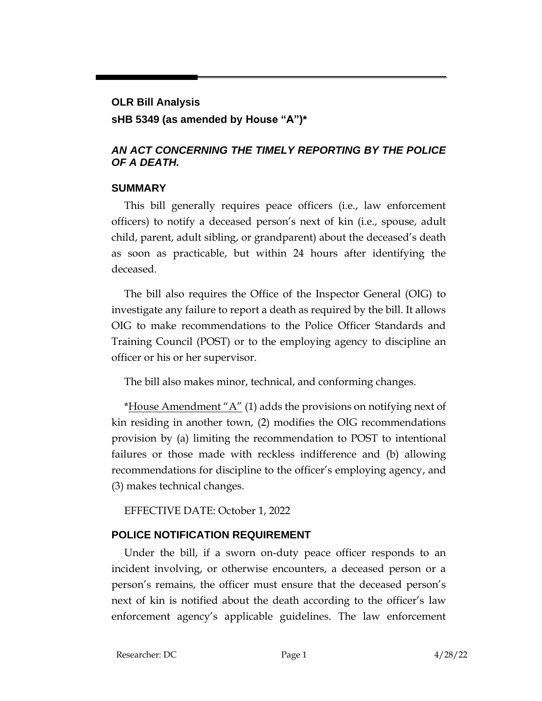# **OLR Bill Analysis**

# **sHB 5349 (as amended by House "A")\***

# *AN ACT CONCERNING THE TIMELY REPORTING BY THE POLICE OF A DEATH.*

## **SUMMARY**

This bill generally requires peace officers (i.e., law enforcement officers) to notify a deceased person's next of kin (i.e., spouse, adult child, parent, adult sibling, or grandparent) about the deceased's death as soon as practicable, but within 24 hours after identifying the deceased.

The bill also requires the Office of the Inspector General (OIG) to investigate any failure to report a death as required by the bill. It allows OIG to make recommendations to the Police Officer Standards and Training Council (POST) or to the employing agency to discipline an officer or his or her supervisor.

The bill also makes minor, technical, and conforming changes.

\*House Amendment " $A$ " (1) adds the provisions on notifying next of kin residing in another town, (2) modifies the OIG recommendations provision by (a) limiting the recommendation to POST to intentional failures or those made with reckless indifference and (b) allowing recommendations for discipline to the officer's employing agency, and (3) makes technical changes.

EFFECTIVE DATE: October 1, 2022

# **POLICE NOTIFICATION REQUIREMENT**

Under the bill, if a sworn on-duty peace officer responds to an incident involving, or otherwise encounters, a deceased person or a person's remains, the officer must ensure that the deceased person's next of kin is notified about the death according to the officer's law enforcement agency's applicable guidelines. The law enforcement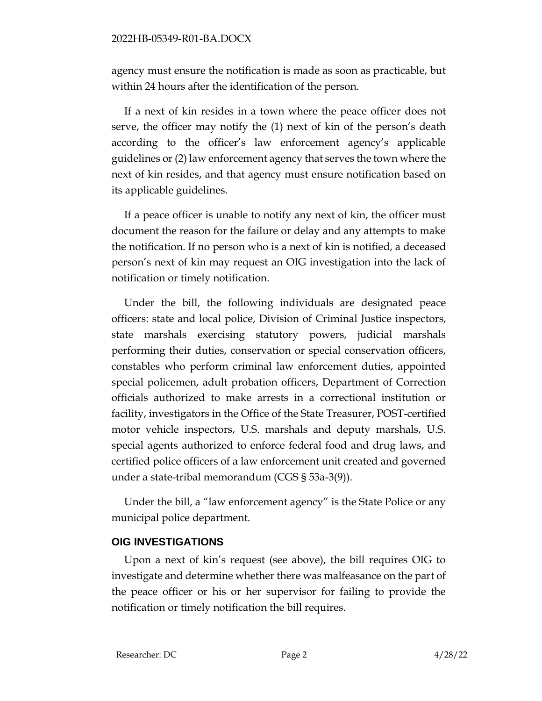agency must ensure the notification is made as soon as practicable, but within 24 hours after the identification of the person.

If a next of kin resides in a town where the peace officer does not serve, the officer may notify the (1) next of kin of the person's death according to the officer's law enforcement agency's applicable guidelines or (2) law enforcement agency that serves the town where the next of kin resides, and that agency must ensure notification based on its applicable guidelines.

If a peace officer is unable to notify any next of kin, the officer must document the reason for the failure or delay and any attempts to make the notification. If no person who is a next of kin is notified, a deceased person's next of kin may request an OIG investigation into the lack of notification or timely notification.

Under the bill, the following individuals are designated peace officers: state and local police, Division of Criminal Justice inspectors, state marshals exercising statutory powers, judicial marshals performing their duties, conservation or special conservation officers, constables who perform criminal law enforcement duties, appointed special policemen, adult probation officers, Department of Correction officials authorized to make arrests in a correctional institution or facility, investigators in the Office of the State Treasurer, POST-certified motor vehicle inspectors, U.S. marshals and deputy marshals, U.S. special agents authorized to enforce federal food and drug laws, and certified police officers of a law enforcement unit created and governed under a state-tribal memorandum (CGS § 53a-3(9)).

Under the bill, a "law enforcement agency" is the State Police or any municipal police department.

### **OIG INVESTIGATIONS**

Upon a next of kin's request (see above), the bill requires OIG to investigate and determine whether there was malfeasance on the part of the peace officer or his or her supervisor for failing to provide the notification or timely notification the bill requires.